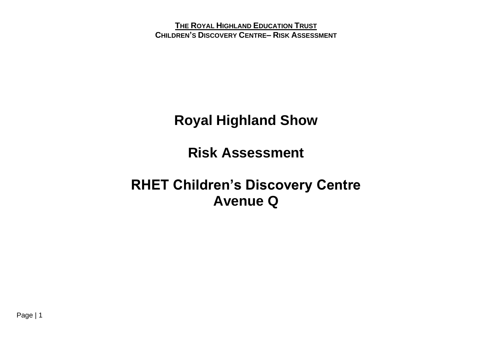**Royal Highland Show**

**Risk Assessment** 

**RHET Children's Discovery Centre Avenue Q**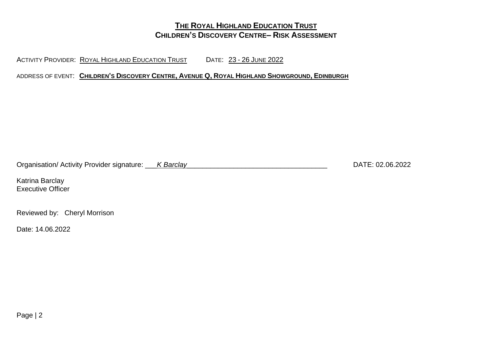ACTIVITY PROVIDER: ROYAL HIGHLAND EDUCATION TRUST DATE: 23 - 26 JUNE 2022

ADDRESS OF EVENT: CHILDREN'S DISCOVERY CENTRE, AVENUE Q, ROYAL HIGHLAND SHOWGROUND, EDINBURGH

Organisation/ Activity Provider signature: \_\_\_*K Barclay*\_\_\_\_\_\_\_\_\_\_\_\_\_\_\_\_\_\_\_\_\_\_\_\_\_\_\_\_\_\_\_\_\_\_\_\_ DATE: 02.06.2022

Katrina Barclay Executive Officer

Reviewed by: Cheryl Morrison

Date: 14.06.2022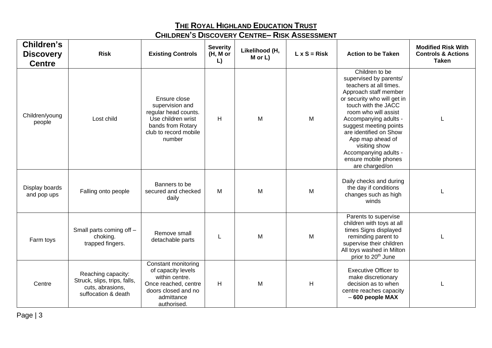| Children's<br><b>Discovery</b><br><b>Centre</b> | <b>Risk</b>                                                                                   | <b>Existing Controls</b>                                                                                                                | <b>Severity</b><br>(H, M or<br>L) | Likelihood (H,<br>$M$ or $L$ ) | $L \times S = Risk$ | <b>Action to be Taken</b>                                                                                                                                                                                                                                                                                                                                      | <b>Modified Risk With</b><br><b>Controls &amp; Actions</b><br>Taken |
|-------------------------------------------------|-----------------------------------------------------------------------------------------------|-----------------------------------------------------------------------------------------------------------------------------------------|-----------------------------------|--------------------------------|---------------------|----------------------------------------------------------------------------------------------------------------------------------------------------------------------------------------------------------------------------------------------------------------------------------------------------------------------------------------------------------------|---------------------------------------------------------------------|
| Children/young<br>people                        | Lost child                                                                                    | Ensure close<br>supervision and<br>regular head counts.<br>Use children wrist<br>bands from Rotary<br>club to record mobile<br>number   | H                                 | M                              | M                   | Children to be<br>supervised by parents/<br>teachers at all times.<br>Approach staff member<br>or security who will get in<br>touch with the JACC<br>room who will assist<br>Accompanying adults -<br>suggest meeting points<br>are identified on Show<br>App map ahead of<br>visiting show<br>Accompanying adults -<br>ensure mobile phones<br>are charged/on |                                                                     |
| Display boards<br>and pop ups                   | Falling onto people                                                                           | Banners to be<br>secured and checked<br>daily                                                                                           | M                                 | M                              | M                   | Daily checks and during<br>the day if conditions<br>changes such as high<br>winds                                                                                                                                                                                                                                                                              |                                                                     |
| Farm toys                                       | Small parts coming off -<br>choking.<br>trapped fingers.                                      | Remove small<br>detachable parts                                                                                                        |                                   | M                              | M                   | Parents to supervise<br>children with toys at all<br>times Signs displayed<br>reminding parent to<br>supervise their children<br>All toys washed in Milton<br>prior to 20 <sup>th</sup> June                                                                                                                                                                   |                                                                     |
| Centre                                          | Reaching capacity:<br>Struck, slips, trips, falls,<br>cuts, abrasions,<br>suffocation & death | Constant monitoring<br>of capacity levels<br>within centre.<br>Once reached, centre<br>doors closed and no<br>admittance<br>authorised. | H                                 | M                              | H                   | <b>Executive Officer to</b><br>make discretionary<br>decision as to when<br>centre reaches capacity<br>- 600 people MAX                                                                                                                                                                                                                                        |                                                                     |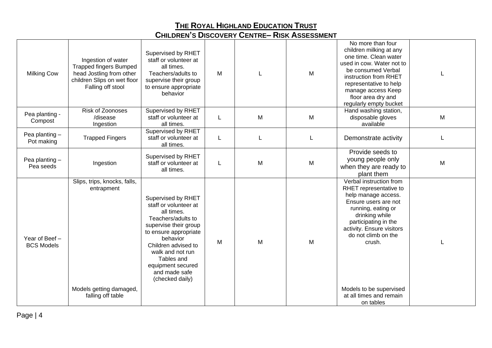| <b>Milking Cow</b>                  | Ingestion of water<br><b>Trapped fingers Bumped</b><br>head Jostling from other<br>children Slips on wet floor<br>Falling off stool | Supervised by RHET<br>staff or volunteer at<br>all times.<br>Teachers/adults to<br>supervise their group<br>to ensure appropriate<br>behavior                                                                                                                   | M |   | M | No more than four<br>children milking at any<br>one time. Clean water<br>used in cow. Water not to<br>be consumed Verbal<br>instruction from RHET<br>representative to help<br>manage access Keep<br>floor area dry and<br>regularly empty bucket                                                 |   |
|-------------------------------------|-------------------------------------------------------------------------------------------------------------------------------------|-----------------------------------------------------------------------------------------------------------------------------------------------------------------------------------------------------------------------------------------------------------------|---|---|---|---------------------------------------------------------------------------------------------------------------------------------------------------------------------------------------------------------------------------------------------------------------------------------------------------|---|
| Pea planting -<br>Compost           | Risk of Zoonoses<br>/disease<br>Ingestion                                                                                           | Supervised by RHET<br>staff or volunteer at<br>all times.                                                                                                                                                                                                       | L | M | M | Hand washing station,<br>disposable gloves<br>available                                                                                                                                                                                                                                           | M |
| Pea planting-<br>Pot making         | <b>Trapped Fingers</b>                                                                                                              | Supervised by RHET<br>staff or volunteer at<br>all times.                                                                                                                                                                                                       | L |   |   | Demonstrate activity                                                                                                                                                                                                                                                                              |   |
| Pea planting -<br>Pea seeds         | Ingestion                                                                                                                           | Supervised by RHET<br>staff or volunteer at<br>all times.                                                                                                                                                                                                       | L | M | M | Provide seeds to<br>young people only<br>when they are ready to<br>plant them                                                                                                                                                                                                                     | M |
| Year of Beef -<br><b>BCS Models</b> | Slips, trips, knocks, falls,<br>entrapment<br>Models getting damaged,<br>falling off table                                          | Supervised by RHET<br>staff or volunteer at<br>all times.<br>Teachers/adults to<br>supervise their group<br>to ensure appropriate<br>behavior<br>Children advised to<br>walk and not run<br>Tables and<br>equipment secured<br>and made safe<br>(checked daily) | M | M | M | Verbal instruction from<br>RHET representative to<br>help manage access.<br>Ensure users are not<br>running, eating or<br>drinking while<br>participating in the<br>activity. Ensure visitors<br>do not climb on the<br>crush.<br>Models to be supervised<br>at all times and remain<br>on tables |   |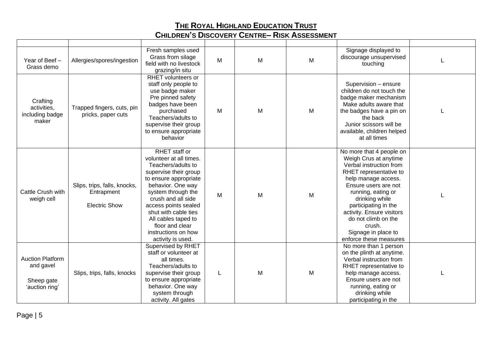| Year of Beef -<br>Grass demo                                         | Allergies/spores/ingestion                                         | Fresh samples used<br>Grass from silage<br>field with no livestock<br>grazing/in situ                                                                                                                                                                                                                                   | M | M | M | Signage displayed to<br>discourage unsupervised<br>touching                                                                                                                                                                                                                                                                          |  |
|----------------------------------------------------------------------|--------------------------------------------------------------------|-------------------------------------------------------------------------------------------------------------------------------------------------------------------------------------------------------------------------------------------------------------------------------------------------------------------------|---|---|---|--------------------------------------------------------------------------------------------------------------------------------------------------------------------------------------------------------------------------------------------------------------------------------------------------------------------------------------|--|
| Crafting<br>activities,<br>including badge<br>maker                  | Trapped fingers, cuts, pin<br>pricks, paper cuts                   | <b>RHET</b> volunteers or<br>staff only people to<br>use badge maker<br>Pre pinned safety<br>badges have been<br>purchased<br>Teachers/adults to<br>supervise their group<br>to ensure appropriate<br>behavior                                                                                                          | М | M | м | Supervision - ensure<br>children do not touch the<br>badge maker mechanism<br>Make adults aware that<br>the badges have a pin on<br>the back<br>Junior scissors will be<br>available, children helped<br>at all times                                                                                                                |  |
| Cattle Crush with<br>weigh cell                                      | Slips, trips, falls, knocks,<br>Entrapment<br><b>Electric Show</b> | RHET staff or<br>volunteer at all times.<br>Teachers/adults to<br>supervise their group<br>to ensure appropriate<br>behavior. One way<br>system through the<br>crush and all side<br>access points sealed<br>shut with cable ties<br>All cables taped to<br>floor and clear<br>instructions on how<br>activity is used. | M | M | M | No more that 4 people on<br>Weigh Crus at anytime<br>Verbal instruction from<br>RHET representative to<br>help manage access.<br>Ensure users are not<br>running, eating or<br>drinking while<br>participating in the<br>activity. Ensure visitors<br>do not climb on the<br>crush.<br>Signage in place to<br>enforce these measures |  |
| <b>Auction Platform</b><br>and gavel<br>Sheep gate<br>'auction ring' | Slips, trips, falls, knocks                                        | Supervised by RHET<br>staff or volunteer at<br>all times.<br>Teachers/adults to<br>supervise their group<br>to ensure appropriate<br>behavior. One way<br>system through<br>activity. All gates                                                                                                                         | L | M | M | No more than 1 person<br>on the plinth at anytime.<br>Verbal instruction from<br>RHET representative to<br>help manage access.<br>Ensure users are not<br>running, eating or<br>drinking while<br>participating in the                                                                                                               |  |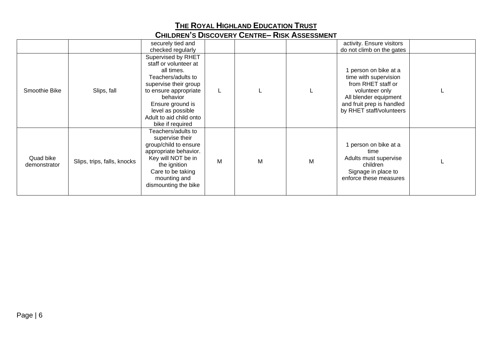|                           |                             | securely tied and                                                                                                                                                                                                                     |   |   |   | activity. Ensure visitors                                                                                                                                                |  |
|---------------------------|-----------------------------|---------------------------------------------------------------------------------------------------------------------------------------------------------------------------------------------------------------------------------------|---|---|---|--------------------------------------------------------------------------------------------------------------------------------------------------------------------------|--|
|                           |                             | checked regularly                                                                                                                                                                                                                     |   |   |   | do not climb on the gates                                                                                                                                                |  |
| Smoothie Bike             | Slips, fall                 | Supervised by RHET<br>staff or volunteer at<br>all times.<br>Teachers/adults to<br>supervise their group<br>to ensure appropriate<br>behavior<br>Ensure ground is<br>level as possible<br>Adult to aid child onto<br>bike if required |   |   |   | 1 person on bike at a<br>time with supervision<br>from RHET staff or<br>volunteer only<br>All blender equipment<br>and fruit prep is handled<br>by RHET staff/volunteers |  |
| Quad bike<br>demonstrator | Slips, trips, falls, knocks | Teachers/adults to<br>supervise their<br>group/child to ensure<br>appropriate behavior.<br>Key will NOT be in<br>the ignition<br>Care to be taking<br>mounting and<br>dismounting the bike                                            | M | M | M | 1 person on bike at a<br>time<br>Adults must supervise<br>children<br>Signage in place to<br>enforce these measures                                                      |  |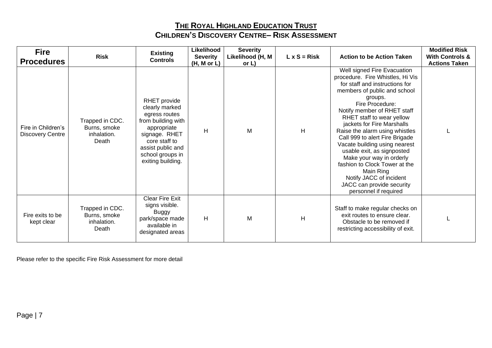| <b>Fire</b><br><b>Procedures</b>              | <b>Risk</b>                                             | <b>Existing</b><br><b>Controls</b>                                                                                                                                                   | Likelihood<br><b>Severity</b><br>(H, M or L) | <b>Severity</b><br>Likelihood (H, M<br>or L) | $L \times S = Risk$ | <b>Action to be Action Taken</b>                                                                                                                                                                                                                                                                                                                                                                                                                                                                                                                        | <b>Modified Risk</b><br><b>With Controls &amp;</b><br><b>Actions Taken</b> |
|-----------------------------------------------|---------------------------------------------------------|--------------------------------------------------------------------------------------------------------------------------------------------------------------------------------------|----------------------------------------------|----------------------------------------------|---------------------|---------------------------------------------------------------------------------------------------------------------------------------------------------------------------------------------------------------------------------------------------------------------------------------------------------------------------------------------------------------------------------------------------------------------------------------------------------------------------------------------------------------------------------------------------------|----------------------------------------------------------------------------|
| Fire in Children's<br><b>Discovery Centre</b> | Trapped in CDC.<br>Burns, smoke<br>inhalation.<br>Death | RHET provide<br>clearly marked<br>egress routes<br>from building with<br>appropriate<br>signage. RHET<br>core staff to<br>assist public and<br>school groups in<br>exiting building. | H                                            | M                                            | H                   | Well signed Fire Evacuation<br>procedure. Fire Whistles, Hi Vis<br>for staff and instructions for<br>members of public and school<br>groups.<br>Fire Procedure:<br>Notify member of RHET staff<br>RHET staff to wear yellow<br>jackets for Fire Marshalls<br>Raise the alarm using whistles<br>Call 999 to alert Fire Brigade<br>Vacate building using nearest<br>usable exit, as signposted<br>Make your way in orderly<br>fashion to Clock Tower at the<br>Main Ring<br>Notify JACC of incident<br>JACC can provide security<br>personnel if required |                                                                            |
| Fire exits to be<br>kept clear                | Trapped in CDC.<br>Burns, smoke<br>inhalation.<br>Death | <b>Clear Fire Exit</b><br>signs visible.<br><b>Buggy</b><br>park/space made<br>available in<br>designated areas                                                                      | H                                            | M                                            | H                   | Staff to make regular checks on<br>exit routes to ensure clear.<br>Obstacle to be removed if<br>restricting accessibility of exit.                                                                                                                                                                                                                                                                                                                                                                                                                      |                                                                            |

Please refer to the specific Fire Risk Assessment for more detail